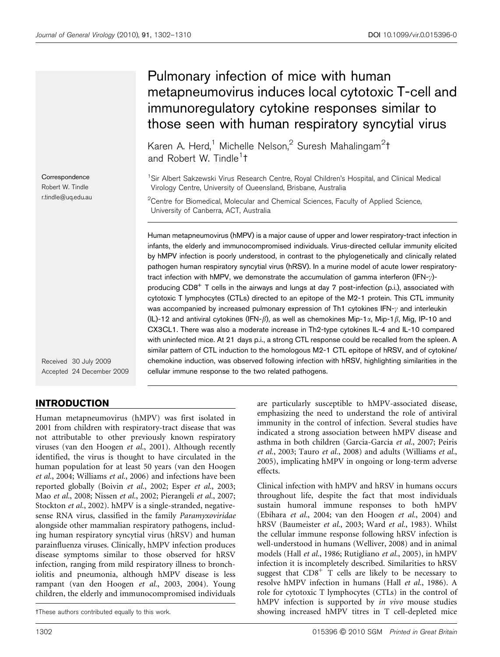Correspondence Robert W. Tindle r.tindle@uq.edu.au

Received 30 July 2009 Accepted 24 December 2009

# INTRODUCTION

Human metapneumovirus (hMPV) was first isolated in 2001 from children with respiratory-tract disease that was not attributable to other previously known respiratory viruses (van den Hoogen et al., 2001). Although recently identified, the virus is thought to have circulated in the human population for at least 50 years (van den Hoogen et al., 2004; Williams et al., 2006) and infections have been reported globally (Boivin et al., 2002; Esper et al., 2003; Mao et al., 2008; Nissen et al., 2002; Pierangeli et al., 2007; Stockton et al., 2002). hMPV is a single-stranded, negativesense RNA virus, classified in the family Paramyxoviridae alongside other mammalian respiratory pathogens, including human respiratory syncytial virus (hRSV) and human parainfluenza viruses. Clinically, hMPV infection produces disease symptoms similar to those observed for hRSV infection, ranging from mild respiratory illness to bronchiolitis and pneumonia, although hMPV disease is less rampant (van den Hoogen et al., 2003, 2004). Young children, the elderly and immunocompromised individuals

# Pulmonary infection of mice with human metapneumovirus induces local cytotoxic T-cell and immunoregulatory cytokine responses similar to those seen with human respiratory syncytial virus

Karen A. Herd,<sup>1</sup> Michelle Nelson,<sup>2</sup> Suresh Mahalingam<sup>2</sup>t and Robert W. Tindle<sup>1</sup>t

<sup>1</sup> Sir Albert Sakzewski Virus Research Centre, Royal Children's Hospital, and Clinical Medical Virology Centre, University of Queensland, Brisbane, Australia

 $2$ Centre for Biomedical, Molecular and Chemical Sciences, Faculty of Applied Science, University of Canberra, ACT, Australia

Human metapneumovirus (hMPV) is a major cause of upper and lower respiratory-tract infection in infants, the elderly and immunocompromised individuals. Virus-directed cellular immunity elicited by hMPV infection is poorly understood, in contrast to the phylogenetically and clinically related pathogen human respiratory syncytial virus (hRSV). In a murine model of acute lower respiratorytract infection with hMPV, we demonstrate the accumulation of gamma interferon (IFN- $\gamma$ )producing CD8<sup>+</sup> T cells in the airways and lungs at day 7 post-infection (p.i.), associated with cytotoxic T lymphocytes (CTLs) directed to an epitope of the M2-1 protein. This CTL immunity was accompanied by increased pulmonary expression of Th1 cytokines IFN- $\gamma$  and interleukin (IL)-12 and antiviral cytokines (IFN- $\beta$ ), as well as chemokines Mip-1 $\alpha$ , Mip-1 $\beta$ , Mig, IP-10 and CX3CL1. There was also a moderate increase in Th2-type cytokines IL-4 and IL-10 compared with uninfected mice. At 21 days p.i., a strong CTL response could be recalled from the spleen. A similar pattern of CTL induction to the homologous M2-1 CTL epitope of hRSV, and of cytokine/ chemokine induction, was observed following infection with hRSV, highlighting similarities in the cellular immune response to the two related pathogens.

> are particularly susceptible to hMPV-associated disease, emphasizing the need to understand the role of antiviral immunity in the control of infection. Several studies have indicated a strong association between hMPV disease and asthma in both children (Garcia-Garcia et al., 2007; Peiris et al., 2003; Tauro et al., 2008) and adults (Williams et al., 2005), implicating hMPV in ongoing or long-term adverse effects.

Clinical infection with hMPV and hRSV in humans occurs throughout life, despite the fact that most individuals sustain humoral immune responses to both hMPV (Ebihara et al., 2004; van den Hoogen et al., 2004) and hRSV (Baumeister et al., 2003; Ward et al., 1983). Whilst the cellular immune response following hRSV infection is well-understood in humans (Welliver, 2008) and in animal models (Hall et al., 1986; Rutigliano et al., 2005), in hMPV infection it is incompletely described. Similarities to hRSV suggest that  $CDS<sup>+</sup>$  T cells are likely to be necessary to resolve hMPV infection in humans (Hall et al., 1986). A role for cytotoxic T lymphocytes (CTLs) in the control of hMPV infection is supported by in vivo mouse studies 3These authors contributed equally to this work. showing increased hMPV titres in T cell-depleted mice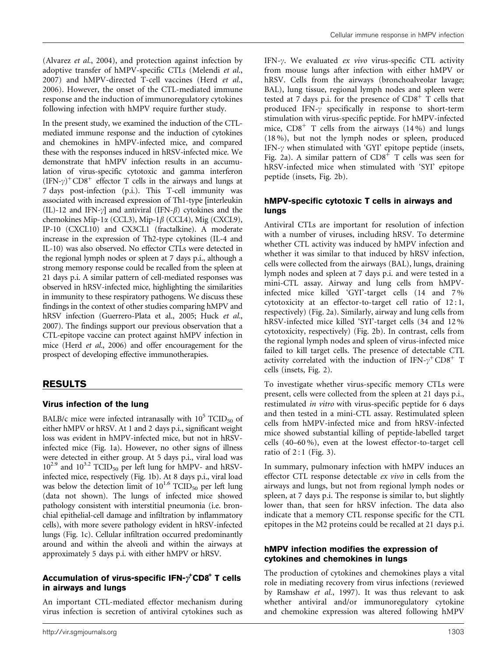(Alvarez et al., 2004), and protection against infection by adoptive transfer of hMPV-specific CTLs (Melendi et al., 2007) and hMPV-directed T-cell vaccines (Herd et al., 2006). However, the onset of the CTL-mediated immune response and the induction of immunoregulatory cytokines following infection with hMPV require further study.

In the present study, we examined the induction of the CTLmediated immune response and the induction of cytokines and chemokines in hMPV-infected mice, and compared these with the responses induced in hRSV-infected mice. We demonstrate that hMPV infection results in an accumulation of virus-specific cytotoxic and gamma interferon  $(IFN-\gamma)^+CD8^+$  effector T cells in the airways and lungs at 7 days post-infection (p.i.). This T-cell immunity was associated with increased expression of Th1-type [interleukin (IL)-12 and IFN- $\gamma$ ] and antiviral (IFN- $\beta$ ) cytokines and the chemokines Mip-1 $\alpha$  (CCL3), Mip-1 $\beta$  (CCL4), Mig (CXCL9), IP-10 (CXCL10) and CX3CL1 (fractalkine). A moderate increase in the expression of Th2-type cytokines (IL-4 and IL-10) was also observed. No effector CTLs were detected in the regional lymph nodes or spleen at 7 days p.i., although a strong memory response could be recalled from the spleen at 21 days p.i. A similar pattern of cell-mediated responses was observed in hRSV-infected mice, highlighting the similarities in immunity to these respiratory pathogens. We discuss these findings in the context of other studies comparing hMPV and hRSV infection (Guerrero-Plata et al., 2005; Huck et al., 2007). The findings support our previous observation that a CTL-epitope vaccine can protect against hMPV infection in mice (Herd et al., 2006) and offer encouragement for the prospect of developing effective immunotherapies.

## RESULTS

## Virus infection of the lung

BALB/c mice were infected intranasally with  $10^5$  TCID<sub>50</sub> of either hMPV or hRSV. At 1 and 2 days p.i., significant weight loss was evident in hMPV-infected mice, but not in hRSVinfected mice (Fig. 1a). However, no other signs of illness were detected in either group. At 5 days p.i., viral load was  $10^{2.9}$  and  $10^{3.2}$  TCID<sub>50</sub> per left lung for hMPV- and hRSVinfected mice, respectively (Fig. 1b). At 8 days p.i., viral load was below the detection limit of  $10^{1.6}$  TCID<sub>50</sub> per left lung (data not shown). The lungs of infected mice showed pathology consistent with interstitial pneumonia (i.e. bronchial epithelial-cell damage and infiltration by inflammatory cells), with more severe pathology evident in hRSV-infected lungs (Fig. 1c). Cellular infiltration occurred predominantly around and within the alveoli and within the airways at approximately 5 days p.i. with either hMPV or hRSV.

## Accumulation of virus-specific IFN- $\rm \gamma^{\text{*}}CD8^{\text{+}}$  T cells in airways and lungs

An important CTL-mediated effector mechanism during virus infection is secretion of antiviral cytokines such as IFN- $\gamma$ . We evaluated ex vivo virus-specific CTL activity from mouse lungs after infection with either hMPV or hRSV. Cells from the airways (bronchoalveolar lavage; BAL), lung tissue, regional lymph nodes and spleen were tested at 7 days p.i. for the presence of  $CD8<sup>+</sup>$  T cells that produced IFN- $\gamma$  specifically in response to short-term stimulation with virus-specific peptide. For hMPV-infected mice,  $CD8<sup>+</sup>$  T cells from the airways (14%) and lungs (18 %), but not the lymph nodes or spleen, produced IFN- $\gamma$  when stimulated with 'GYI' epitope peptide (insets, Fig. 2a). A similar pattern of  $CD8^+$  T cells was seen for hRSV-infected mice when stimulated with 'SYI' epitope peptide (insets, Fig. 2b).

### hMPV-specific cytotoxic T cells in airways and lungs

Antiviral CTLs are important for resolution of infection with a number of viruses, including hRSV. To determine whether CTL activity was induced by hMPV infection and whether it was similar to that induced by hRSV infection, cells were collected from the airways (BAL), lungs, draining lymph nodes and spleen at 7 days p.i. and were tested in a mini-CTL assay. Airway and lung cells from hMPVinfected mice killed 'GYI'-target cells (14 and 7 % cytotoxicity at an effector-to-target cell ratio of 12 : 1, respectively) (Fig. 2a). Similarly, airway and lung cells from hRSV-infected mice killed 'SYI'-target cells (34 and 12 % cytotoxicity, respectively) (Fig. 2b). In contrast, cells from the regional lymph nodes and spleen of virus-infected mice failed to kill target cells. The presence of detectable CTL activity correlated with the induction of IFN- $\gamma^+$ CD8<sup>+</sup> T cells (insets, Fig. 2).

To investigate whether virus-specific memory CTLs were present, cells were collected from the spleen at 21 days p.i., restimulated in vitro with virus-specific peptide for 6 days and then tested in a mini-CTL assay. Restimulated spleen cells from hMPV-infected mice and from hRSV-infected mice showed substantial killing of peptide-labelled target cells (40–60 %), even at the lowest effector-to-target cell ratio of  $2:1$  (Fig. 3).

In summary, pulmonary infection with hMPV induces an effector CTL response detectable ex vivo in cells from the airways and lungs, but not from regional lymph nodes or spleen, at 7 days p.i. The response is similar to, but slightly lower than, that seen for hRSV infection. The data also indicate that a memory CTL response specific for the CTL epitopes in the M2 proteins could be recalled at 21 days p.i.

#### hMPV infection modifies the expression of cytokines and chemokines in lungs

The production of cytokines and chemokines plays a vital role in mediating recovery from virus infections (reviewed by Ramshaw et al., 1997). It was thus relevant to ask whether antiviral and/or immunoregulatory cytokine and chemokine expression was altered following hMPV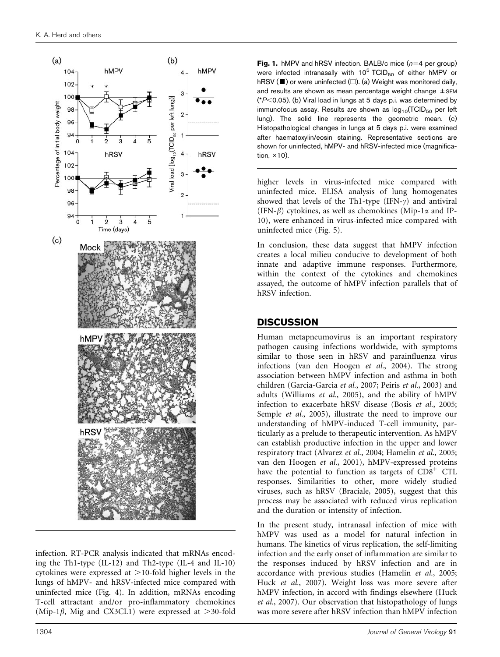

infection. RT-PCR analysis indicated that mRNAs encoding the Th1-type (IL-12) and Th2-type (IL-4 and IL-10) cytokines were expressed at  $>$  10-fold higher levels in the lungs of hMPV- and hRSV-infected mice compared with uninfected mice (Fig. 4). In addition, mRNAs encoding T-cell attractant and/or pro-inflammatory chemokines (Mip-1 $\beta$ , Mig and CX3CL1) were expressed at >30-fold **Fig. 1.** hMPV and hRSV infection. BALB/c mice  $(n=4$  per group) were infected intranasally with  $10^5$  TCID<sub>50</sub> of either hMPV or hRSV ( $\blacksquare$ ) or were uninfected ( $\square$ ). (a) Weight was monitored daily, and results are shown as mean percentage weight change  $\pm$  SEM ( $P$ <0.05). (b) Viral load in lungs at 5 days p.i. was determined by immunofocus assay. Results are shown as  $log_{10}(TCID_{50}$  per left lung). The solid line represents the geometric mean. (c) Histopathological changes in lungs at 5 days p.i. were examined after haematoxylin/eosin staining. Representative sections are shown for uninfected, hMPV- and hRSV-infected mice (magnification,  $\times$ 10).

higher levels in virus-infected mice compared with uninfected mice. ELISA analysis of lung homogenates showed that levels of the Th1-type (IFN- $\gamma$ ) and antiviral (IFN- $\beta$ ) cytokines, as well as chemokines (Mip-1 $\alpha$  and IP-10), were enhanced in virus-infected mice compared with uninfected mice (Fig. 5).

In conclusion, these data suggest that hMPV infection creates a local milieu conducive to development of both innate and adaptive immune responses. Furthermore, within the context of the cytokines and chemokines assayed, the outcome of hMPV infection parallels that of hRSV infection.

## **DISCUSSION**

Human metapneumovirus is an important respiratory pathogen causing infections worldwide, with symptoms similar to those seen in hRSV and parainfluenza virus infections (van den Hoogen et al., 2004). The strong association between hMPV infection and asthma in both children (Garcia-Garcia et al., 2007; Peiris et al., 2003) and adults (Williams et al., 2005), and the ability of hMPV infection to exacerbate hRSV disease (Bosis et al., 2005; Semple et al., 2005), illustrate the need to improve our understanding of hMPV-induced T-cell immunity, particularly as a prelude to therapeutic intervention. As hMPV can establish productive infection in the upper and lower respiratory tract (Alvarez et al., 2004; Hamelin et al., 2005; van den Hoogen et al., 2001), hMPV-expressed proteins have the potential to function as targets of CD8<sup>+</sup> CTL responses. Similarities to other, more widely studied viruses, such as hRSV (Braciale, 2005), suggest that this process may be associated with reduced virus replication and the duration or intensity of infection.

In the present study, intranasal infection of mice with hMPV was used as a model for natural infection in humans. The kinetics of virus replication, the self-limiting infection and the early onset of inflammation are similar to the responses induced by hRSV infection and are in accordance with previous studies (Hamelin et al., 2005; Huck et al., 2007). Weight loss was more severe after hMPV infection, in accord with findings elsewhere (Huck et al., 2007). Our observation that histopathology of lungs was more severe after hRSV infection than hMPV infection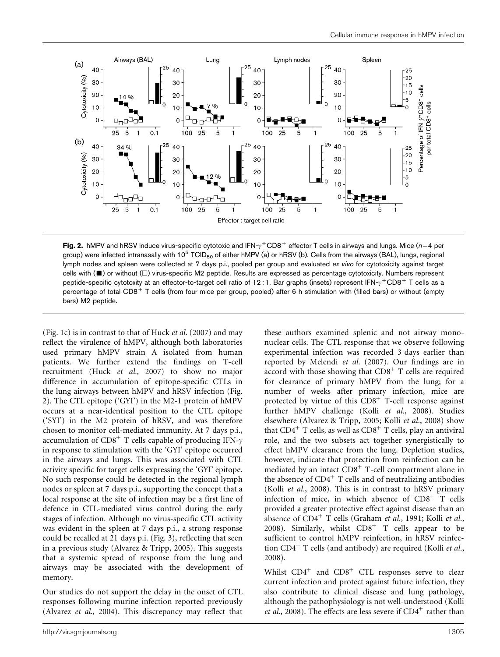

Fig. 2. hMPV and hRSV induce virus-specific cytotoxic and IFN- $\gamma^+$ CD8<sup>+</sup> effector T cells in airways and lungs. Mice (n=4 per group) were infected intranasally with 10<sup>5</sup> TCID<sub>50</sub> of either hMPV (a) or hRSV (b). Cells from the airways (BAL), lungs, regional lymph nodes and spleen were collected at 7 days p.i., pooled per group and evaluated ex vivo for cytotoxicity against target cells with  $(\blacksquare)$  or without  $(\square)$  virus-specific M2 peptide. Results are expressed as percentage cytotoxicity. Numbers represent peptide-specific cytotoxity at an effector-to-target cell ratio of 12 : 1. Bar graphs (insets) represent IFN- $\gamma^+{\rm CD8^+}$  T cells as a percentage of total CD8<sup>+</sup> T cells (from four mice per group, pooled) after 6 h stimulation with (filled bars) or without (empty bars) M2 peptide.

(Fig. 1c) is in contrast to that of Huck et al. (2007) and may reflect the virulence of hMPV, although both laboratories used primary hMPV strain A isolated from human patients. We further extend the findings on T-cell recruitment (Huck et al., 2007) to show no major difference in accumulation of epitope-specific CTLs in the lung airways between hMPV and hRSV infection (Fig. 2). The CTL epitope ('GYI') in the M2-1 protein of hMPV occurs at a near-identical position to the CTL epitope ('SYI') in the M2 protein of hRSV, and was therefore chosen to monitor cell-mediated immunity. At 7 days p.i., accumulation of  $CD8<sup>+</sup>$  T cells capable of producing IFN- $\gamma$ in response to stimulation with the 'GYI' epitope occurred in the airways and lungs. This was associated with CTL activity specific for target cells expressing the 'GYI' epitope. No such response could be detected in the regional lymph nodes or spleen at 7 days p.i., supporting the concept that a local response at the site of infection may be a first line of defence in CTL-mediated virus control during the early stages of infection. Although no virus-specific CTL activity was evident in the spleen at 7 days p.i., a strong response could be recalled at 21 days p.i. (Fig. 3), reflecting that seen in a previous study (Alvarez & Tripp, 2005). This suggests that a systemic spread of response from the lung and airways may be associated with the development of memory.

Our studies do not support the delay in the onset of CTL responses following murine infection reported previously (Alvarez et al., 2004). This discrepancy may reflect that

these authors examined splenic and not airway mononuclear cells. The CTL response that we observe following experimental infection was recorded 3 days earlier than reported by Melendi et al. (2007). Our findings are in accord with those showing that  $CD8<sup>+</sup>$  T cells are required for clearance of primary hMPV from the lung; for a number of weeks after primary infection, mice are protected by virtue of this  $CD8<sup>+</sup>$  T-cell response against further hMPV challenge (Kolli et al., 2008). Studies elsewhere (Alvarez & Tripp, 2005; Kolli et al., 2008) show that  $CD4^+$  T cells, as well as  $CD8^+$  T cells, play an antiviral role, and the two subsets act together synergistically to effect hMPV clearance from the lung. Depletion studies, however, indicate that protection from reinfection can be mediated by an intact CD8<sup>+</sup> T-cell compartment alone in the absence of  $CD4^+$  T cells and of neutralizing antibodies (Kolli et al., 2008). This is in contrast to hRSV primary infection of mice, in which absence of  $CDS<sup>+</sup> T$  cells provided a greater protective effect against disease than an absence of  $CD4^+$  T cells (Graham *et al.*, 1991; Kolli *et al.*, 2008). Similarly, whilst  $CD8<sup>+</sup>$  T cells appear to be sufficient to control hMPV reinfection, in hRSV reinfection  $CD4^+$  T cells (and antibody) are required (Kolli *et al.*, 2008).

Whilst  $CD4^+$  and  $CD8^+$  CTL responses serve to clear current infection and protect against future infection, they also contribute to clinical disease and lung pathology, although the pathophysiology is not well-understood (Kolli *et al.*, 2008). The effects are less severe if  $CD4^+$  rather than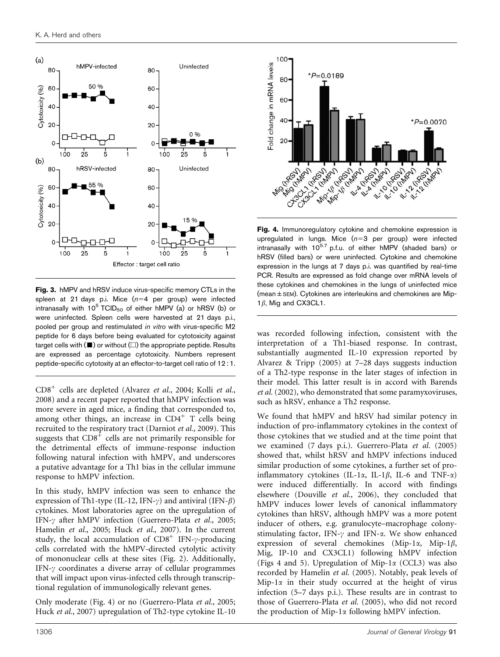

Fig. 3. hMPV and hRSV induce virus-specific memory CTLs in the spleen at 21 days p.i. Mice  $(n=4$  per group) were infected intranasally with 10<sup>5</sup> TCID<sub>50</sub> of either hMPV (a) or hRSV (b) or were uninfected. Spleen cells were harvested at 21 days p.i., pooled per group and restimulated in vitro with virus-specific M2 peptide for 6 days before being evaluated for cytotoxicity against target cells with  $(\blacksquare)$  or without  $(\square)$  the appropriate peptide. Results are expressed as percentage cytotoxicity. Numbers represent peptide-specific cytotoxity at an effector-to-target cell ratio of 12 : 1.

CD8<sup>+</sup> cells are depleted (Alvarez et al., 2004; Kolli et al., 2008) and a recent paper reported that hMPV infection was more severe in aged mice, a finding that corresponded to, among other things, an increase in  $CD4^+$  T cells being recruited to the respiratory tract (Darniot et al., 2009). This suggests that  $CDS<sup>+</sup>$  cells are not primarily responsible for the detrimental effects of immune-response induction following natural infection with hMPV, and underscores a putative advantage for a Th1 bias in the cellular immune response to hMPV infection.

In this study, hMPV infection was seen to enhance the expression of Th1-type (IL-12, IFN- $\gamma$ ) and antiviral (IFN- $\beta$ ) cytokines. Most laboratories agree on the upregulation of IFN- $\gamma$  after hMPV infection (Guerrero-Plata et al., 2005; Hamelin et al., 2005; Huck et al., 2007). In the current study, the local accumulation of  $CD8^+$  IFN- $\gamma$ -producing cells correlated with the hMPV-directed cytolytic activity of mononuclear cells at these sites (Fig. 2). Additionally, IFN- $\gamma$  coordinates a diverse array of cellular programmes that will impact upon virus-infected cells through transcriptional regulation of immunologically relevant genes.

Only moderate (Fig. 4) or no (Guerrero-Plata et al., 2005; Huck et al., 2007) upregulation of Th2-type cytokine IL-10



Fig. 4. Immunoregulatory cytokine and chemokine expression is upregulated in lungs. Mice  $(n=3$  per group) were infected intranasally with  $10^{5.7}$  p.f.u. of either hMPV (shaded bars) or hRSV (filled bars) or were uninfected. Cytokine and chemokine expression in the lungs at 7 days p.i. was quantified by real-time PCR. Results are expressed as fold change over mRNA levels of these cytokines and chemokines in the lungs of uninfected mice (mean $\pm$ SEM). Cytokines are interleukins and chemokines are Mip-1 $\beta$ , Mig and CX3CL1.

was recorded following infection, consistent with the interpretation of a Th1-biased response. In contrast, substantially augmented IL-10 expression reported by Alvarez & Tripp (2005) at 7–28 days suggests induction of a Th2-type response in the later stages of infection in their model. This latter result is in accord with Barends et al. (2002), who demonstrated that some paramyxoviruses, such as hRSV, enhance a Th2 response.

We found that hMPV and hRSV had similar potency in induction of pro-inflammatory cytokines in the context of those cytokines that we studied and at the time point that we examined (7 days p.i.). Guerrero-Plata et al. (2005) showed that, whilst hRSV and hMPV infections induced similar production of some cytokines, a further set of proinflammatory cytokines (IL-1 $\alpha$ , IL-1 $\beta$ , IL-6 and TNF- $\alpha$ ) were induced differentially. In accord with findings elsewhere (Douville et al., 2006), they concluded that hMPV induces lower levels of canonical inflammatory cytokines than hRSV, although hMPV was a more potent inducer of others, e.g. granulocyte–macrophage colonystimulating factor, IFN- $\gamma$  and IFN- $\alpha$ . We show enhanced expression of several chemokines (Mip-1 $\alpha$ , Mip-1 $\beta$ , Mig, IP-10 and CX3CL1) following hMPV infection (Figs 4 and 5). Upregulation of Mip-1 $\alpha$  (CCL3) was also recorded by Hamelin et al. (2005). Notably, peak levels of Mip-1 $\alpha$  in their study occurred at the height of virus infection (5–7 days p.i.). These results are in contrast to those of Guerrero-Plata et al. (2005), who did not record the production of Mip-1 $\alpha$  following hMPV infection.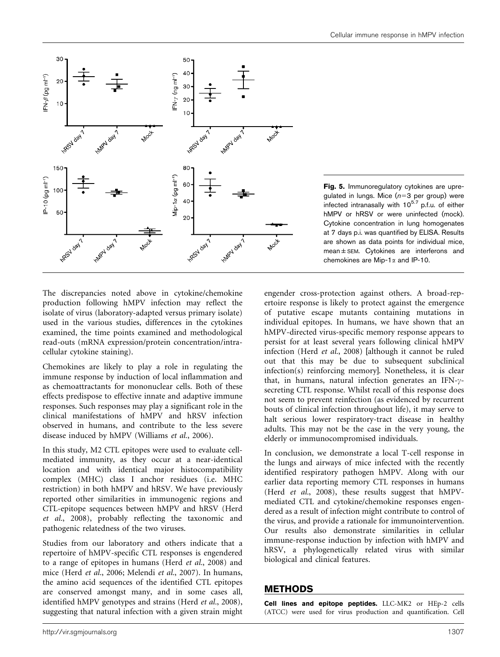

Fig. 5. Immunoregulatory cytokines are upregulated in lungs. Mice  $(n=3$  per group) were infected intranasally with  $10^{5.7}$  p.f.u. of either hMPV or hRSV or were uninfected (mock). Cytokine concentration in lung homogenates at 7 days p.i. was quantified by ELISA. Results are shown as data points for individual mice, mean±SEM. Cytokines are interferons and chemokines are Mip-1 $\alpha$  and IP-10.

The discrepancies noted above in cytokine/chemokine production following hMPV infection may reflect the isolate of virus (laboratory-adapted versus primary isolate) used in the various studies, differences in the cytokines examined, the time points examined and methodological read-outs (mRNA expression/protein concentration/intracellular cytokine staining).

Chemokines are likely to play a role in regulating the immune response by induction of local inflammation and as chemoattractants for mononuclear cells. Both of these effects predispose to effective innate and adaptive immune responses. Such responses may play a significant role in the clinical manifestations of hMPV and hRSV infection observed in humans, and contribute to the less severe disease induced by hMPV (Williams et al., 2006).

In this study, M2 CTL epitopes were used to evaluate cellmediated immunity, as they occur at a near-identical location and with identical major histocompatibility complex (MHC) class I anchor residues (i.e. MHC restriction) in both hMPV and hRSV. We have previously reported other similarities in immunogenic regions and CTL-epitope sequences between hMPV and hRSV (Herd et al., 2008), probably reflecting the taxonomic and pathogenic relatedness of the two viruses.

Studies from our laboratory and others indicate that a repertoire of hMPV-specific CTL responses is engendered to a range of epitopes in humans (Herd et al., 2008) and mice (Herd et al., 2006; Melendi et al., 2007). In humans, the amino acid sequences of the identified CTL epitopes are conserved amongst many, and in some cases all, identified hMPV genotypes and strains (Herd et al., 2008), suggesting that natural infection with a given strain might engender cross-protection against others. A broad-repertoire response is likely to protect against the emergence of putative escape mutants containing mutations in individual epitopes. In humans, we have shown that an hMPV-directed virus-specific memory response appears to persist for at least several years following clinical hMPV infection (Herd et al., 2008) [although it cannot be ruled out that this may be due to subsequent subclinical infection(s) reinforcing memory]. Nonetheless, it is clear that, in humans, natural infection generates an IFN- $\gamma$ secreting CTL response. Whilst recall of this response does not seem to prevent reinfection (as evidenced by recurrent bouts of clinical infection throughout life), it may serve to halt serious lower respiratory-tract disease in healthy adults. This may not be the case in the very young, the elderly or immunocompromised individuals.

In conclusion, we demonstrate a local T-cell response in the lungs and airways of mice infected with the recently identified respiratory pathogen hMPV. Along with our earlier data reporting memory CTL responses in humans (Herd et al., 2008), these results suggest that hMPVmediated CTL and cytokine/chemokine responses engendered as a result of infection might contribute to control of the virus, and provide a rationale for immunointervention. Our results also demonstrate similarities in cellular immune-response induction by infection with hMPV and hRSV, a phylogenetically related virus with similar biological and clinical features.

## METHODS

Cell lines and epitope peptides. LLC-MK2 or HEp-2 cells (ATCC) were used for virus production and quantification. Cell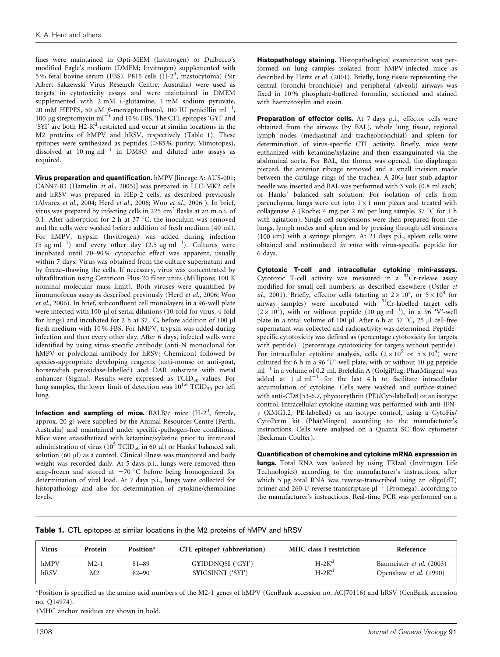lines were maintained in Opti-MEM (Invitrogen) or Dulbecco's modified Eagle's medium (DMEM; Invitrogen) supplemented with 5% fetal bovine serum (FBS). P815 cells (H-2<sup>d</sup>, mastocytoma) (Sir Albert Sakzewski Virus Research Centre, Australia) were used as targets in cytotoxicity assays and were maintained in DMEM supplemented with 2 mM L-glutamine, 1 mM sodium pyruvate, 20 mM HEPES, 50  $\mu$ M  $\beta$ -mercaptoethanol, 100 IU penicillin ml<sup>-1</sup>, 100  $\mu$ g streptomycin ml<sup>-1</sup> and 10 % FBS. The CTL epitopes 'GYI' and 'SYI' are both H2-K<sup>d</sup>-restricted and occur at similar locations in the M2 proteins of hMPV and hRSV, respectively (Table 1). These epitopes were synthesized as peptides  $($ >85 % purity; Mimotopes), dissolved at  $10 \text{ mg ml}^{-1}$  in DMSO and diluted into assays as required.

Virus preparation and quantification. hMPV [lineage A: AUS-001; CAN97-83 (Hamelin et al., 2005)] was prepared in LLC-MK2 cells and hRSV was prepared in HEp-2 cells, as described previously (Alvarez et al., 2004; Herd et al., 2006; Woo et al., 2006 ). In brief, virus was prepared by infecting cells in 225 cm<sup>2</sup> flasks at an m.o.i. of 0.1. After adsorption for 2 h at 37  $\degree$ C, the inoculum was removed and the cells were washed before addition of fresh medium (40 ml). For hMPV, trypsin (Invitrogen) was added during infection  $(5 \text{ µg ml}^{-1})$  and every other day  $(2.5 \text{ µg ml}^{-1})$ . Cultures were incubated until 70–90 % cytopathic effect was apparent, usually within 7 days. Virus was obtained from the culture supernatant and by freeze–thawing the cells. If necessary, virus was concentrated by ultrafiltration using Centricon Plus-20 filter units (Millipore; 100 K nominal molecular mass limit). Both viruses were quantified by immunofocus assay as described previously (Herd et al., 2006; Woo et al., 2006). In brief, subconfluent cell monolayers in a 96-well plate were infected with 100 µl of serial dilutions (10-fold for virus, 4-fold for lungs) and incubated for 2 h at 37  $\degree$ C, before addition of 100 µl fresh medium with 10 % FBS. For hMPV, trypsin was added during infection and then every other day. After 6 days, infected wells were identified by using virus-specific antibody (anti-N monoclonal for hMPV or polyclonal antibody for hRSV; Chemicon) followed by species-appropriate developing reagents (anti-mouse or anti-goat, horseradish peroxidase-labelled) and DAB substrate with metal enhancer (Sigma). Results were expressed as  $TCID<sub>50</sub>$  values. For lung samples, the lower limit of detection was  $10^{1.6}$  TCID<sub>50</sub> per left lung.

**Infection and sampling of mice.** BALB/c mice  $(H-2^d,$  female, approx. 20 g) were supplied by the Animal Resources Centre (Perth, Australia) and maintained under specific-pathogen-free conditions. Mice were anaesthetized with ketamine/xylazine prior to intranasal administration of virus ( $10^5$  TCID<sub>50</sub> in 60  $\mu$ l) or Hanks' balanced salt solution (60 µl) as a control. Clinical illness was monitored and body weight was recorded daily. At 5 days p.i., lungs were removed then snap-frozen and stored at  $-70$  °C before being homogenized for determination of viral load. At 7 days p.i., lungs were collected for histopathology and also for determination of cytokine/chemokine levels.

Histopathology staining. Histopathological examination was performed on lung samples isolated from hMPV-infected mice as described by Hertz et al. (2001). Briefly, lung tissue representing the central (bronchi–bronchiole) and peripheral (alveoli) airways was fixed in 10 % phosphate-buffered formalin, sectioned and stained with haematoxylin and eosin.

Preparation of effector cells. At 7 days p.i., effector cells were obtained from the airways (by BAL), whole lung tissue, regional lymph nodes (mediastinal and tracheobronchial) and spleen for determination of virus-specific CTL activity. Briefly, mice were euthanized with ketamine/xylazine and then exsanguinated via the abdominal aorta. For BAL, the thorax was opened, the diaphragm pierced, the anterior ribcage removed and a small incision made between the cartilage rings of the trachea. A 20G luer stub adaptor needle was inserted and BAL was performed with 3 vols (0.8 ml each) of Hanks' balanced salt solution. For isolation of cells from parenchyma, lungs were cut into  $1 \times 1$  mm pieces and treated with collagenase A (Roche; 4 mg per 2 ml per lung sample,  $37^{\circ}$ C for 1 h with agitation). Single-cell suspensions were then prepared from the lungs, lymph nodes and spleen and by pressing through cell strainers (100  $\mu$ m) with a syringe plunger. At 21 days p.i., spleen cells were obtained and restimulated in vitro with virus-specific peptide for 6 days.

Cytotoxic T-cell and intracellular cytokine mini-assays. Cytotoxic T-cell activity was measured in a  $51$ Cr-release assay modified for small cell numbers, as described elsewhere (Ostler et al., 2001). Briefly, effector cells (starting at  $2 \times 10^5$ , or  $5 \times 10^4$  for airway samples) were incubated with <sup>51</sup>Cr-labelled target cells  $(2 \times 10^3)$ , with or without peptide  $(10 \text{ µg ml}^{-1})$ , in a 96 'V'-well plate in a total volume of 100  $\mu$ l. After 6 h at 37 °C, 25  $\mu$ l cell-free supernatant was collected and radioactivity was determined. Peptidespecific cytotoxicity was defined as (percentage cytotoxicity for targets with peptide) $-($ percentage cytotoxicity for targets without peptide). For intracellular cytokine analysis, cells  $(2 \times 10^5 \text{ or } 5 \times 10^4)$  were cultured for 6 h in a 96 'U'-well plate, with or without 10 µg peptide ml<sup>-1</sup> in a volume of 0.2 ml. Brefeldin A (GolgiPlug; PharMingen) was added at  $1 \mu l$  ml<sup>-1</sup> for the last  $4 h$  to facilitate intracellular accumulation of cytokine. Cells were washed and surface-stained with anti-CD8 [53-6.7, phycoerythrin (PE)/Cy5-labelled] or an isotype control. Intracellular cytokine staining was performed with anti-IFN- $\gamma$  (XMG1.2, PE-labelled) or an isotype control, using a CytoFix/ CytoPerm kit (PharMingen) according to the manufacturer's instructions. Cells were analysed on a Quanta SC flow cytometer (Beckman Coulter).

Quantification of chemokine and cytokine mRNA expression in

lungs. Total RNA was isolated by using TRIzol (Invitrogen Life Technologies) according to the manufacturer's instructions, after which 5 µg total RNA was reverse-transcribed using an oligo(dT) primer and 260 U reverse transcriptase  $\mu$ <sup>[-1</sup> (Promega), according to the manufacturer's instructions. Real-time PCR was performed on a

Table 1. CTL epitopes at similar locations in the M2 proteins of hMPV and hRSV

| <b>Virus</b> | Protein | Position* | CTL epitope <sup>†</sup> (abbreviation) | <b>MHC</b> class I restriction | Reference                |
|--------------|---------|-----------|-----------------------------------------|--------------------------------|--------------------------|
| hMPV         | $M2-1$  | $81 - 89$ | GYIDDNOSI ('GYI')                       | $H-2K^d$                       | Baumeister et al. (2003) |
| hRSV         | M2      | $82 - 90$ | SYIGSINNI ('SYI')                       | $H-2K^d$                       | Openshaw et al. (1990)   |

\*Position is specified as the amino acid numbers of the M2-1 genes of hMPV (GenBank accession no. ACJ70116) and hRSV (GenBank accession no. Q14974).

†MHC anchor residues are shown in bold.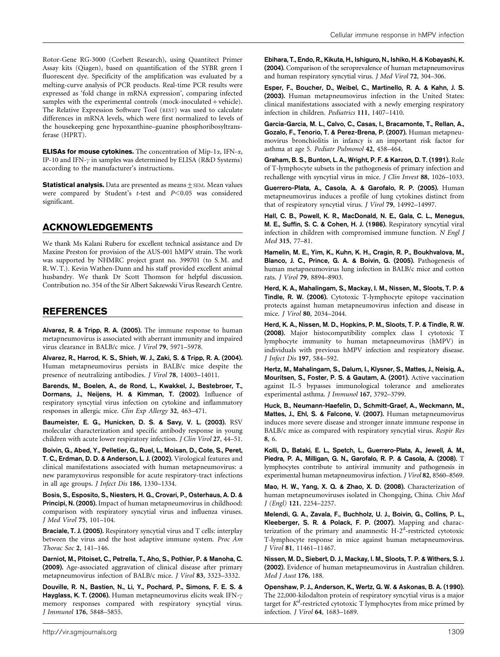Rotor-Gene RG-3000 (Corbett Research), using Quantitect Primer Assay kits (Qiagen), based on quantification of the SYBR green I fluorescent dye. Specificity of the amplification was evaluated by a melting-curve analysis of PCR products. Real-time PCR results were expressed as 'fold change in mRNA expression', comparing infected samples with the experimental controls (mock-inoculated + vehicle). The Relative Expression Software Tool (REST) was used to calculate differences in mRNA levels, which were first normalized to levels of the housekeeping gene hypoxanthine–guanine phosphoribosyltransferase (HPRT).

**ELISAs for mouse cytokines.** The concentration of Mip-1 $\alpha$ , IFN- $\alpha$ , IP-10 and IFN- $\gamma$  in samples was determined by ELISA (R&D Systems) according to the manufacturer's instructions.

**Statistical analysis.** Data are presented as means $\pm$  SEM. Mean values were compared by Student's  $t$ -test and  $P<0.05$  was considered significant.

## ACKNOWLEDGEMENTS

We thank Ms Kalani Ruberu for excellent technical assistance and Dr Maxine Preston for provision of the AUS-001 hMPV strain. The work was supported by NHMRC project grant no. 399701 (to S.M. and R.W. T.). Kevin Wathen-Dunn and his staff provided excellent animal husbandry. We thank Dr Scott Thomson for helpful discussion. Contribution no. 354 of the Sir Albert Sakzewski Virus Research Centre.

## REFERENCES

Alvarez, R. & Tripp, R. A. (2005). The immune response to human metapneumovirus is associated with aberrant immunity and impaired virus clearance in BALB/c mice. J Virol 79, 5971–5978.

Alvarez, R., Harrod, K. S., Shieh, W. J., Zaki, S. & Tripp, R. A. (2004). Human metapneumovirus persists in BALB/c mice despite the presence of neutralizing antibodies. J Virol 78, 14003–14011.

Barends, M., Boelen, A., de Rond, L., Kwakkel, J., Bestebroer, T., Dormans, J., Neijens, H. & Kimman, T. (2002). Influence of respiratory syncytial virus infection on cytokine and inflammatory responses in allergic mice. Clin Exp Allergy 32, 463–471.

Baumeister, E. G., Hunicken, D. S. & Savy, V. L. (2003). RSV molecular characterization and specific antibody response in young children with acute lower respiratory infection. J Clin Virol 27, 44–51.

Boivin, G., Abed, Y., Pelletier, G., Ruel, L., Moisan, D., Cote, S., Peret, T. C., Erdman, D. D. & Anderson, L. J. (2002). Virological features and clinical manifestations associated with human metapneumovirus: a new paramyxovirus responsible for acute respiratory-tract infections in all age groups. J Infect Dis 186, 1330–1334.

Bosis, S., Esposito, S., Niesters, H. G., Crovari, P., Osterhaus, A. D. & Principi, N. (2005). Impact of human metapneumovirus in childhood: comparison with respiratory syncytial virus and influenza viruses. J Med Virol 75, 101–104.

Braciale, T. J. (2005). Respiratory syncytial virus and T cells: interplay between the virus and the host adaptive immune system. Proc Am Thorac Soc 2, 141–146.

Darniot, M., Pitoiset, C., Petrella, T., Aho, S., Pothier, P. & Manoha, C. (2009). Age-associated aggravation of clinical disease after primary metapneumovirus infection of BALB/c mice. J Virol 83, 3323–3332.

Douville, R. N., Bastien, N., Li, Y., Pochard, P., Simons, F. E. S. & Hayglass, K. T. (2006). Human metapneumovirus elicits weak IFN- $\gamma$ memory responses compared with respiratory syncytial virus. J Immunol 176, 5848–5855.

Ebihara, T., Endo, R., Kikuta, H., Ishiguro, N., Ishiko, H. & Kobayashi, K. (2004). Comparison of the seroprevalence of human metapneumovirus and human respiratory syncytial virus. J Med Virol 72, 304–306.

Esper, F., Boucher, D., Weibel, C., Martinello, R. A. & Kahn, J. S. (2003). Human metapneumovirus infection in the United States: clinical manifestations associated with a newly emerging respiratory infection in children. Pediatrics 111, 1407–1410.

Garcia-Garcia, M. L., Calvo, C., Casas, I., Bracamonte, T., Rellan, A., Gozalo, F., Tenorio, T. & Perez-Brena, P. (2007). Human metapneumovirus bronchiolitis in infancy is an important risk factor for asthma at age 5. Pediatr Pulmonol 42, 458–464.

Graham, B. S., Bunton, L. A., Wright, P. F. & Karzon, D. T. (1991). Role of T-lymphocyte subsets in the pathogenesis of primary infection and rechallenge with syncytial virus in mice. J Clin Invest 88, 1026–1033.

Guerrero-Plata, A., Casola, A. & Garofalo, R. P. (2005). Human metapneumovirus induces a profile of lung cytokines distinct from that of respiratory syncytial virus. J Virol 79, 14992–14997.

Hall, C. B., Powell, K. R., MacDonald, N. E., Gala, C. L., Menegus, M. E., Suffin, S. C. & Cohen, H. J. (1986). Respiratory syncytial viral infection in children with compromised immune function. N Engl J Med 315, 77–81.

Hamelin, M. E., Yim, K., Kuhn, K. H., Cragin, R. P., Boukhvalova, M., Blanco, J. C., Prince, G. A. & Boivin, G. (2005). Pathogenesis of human metapneumovirus lung infection in BALB/c mice and cotton rats. J Virol 79, 8894–8903.

Herd, K. A., Mahalingam, S., Mackay, I. M., Nissen, M., Sloots, T. P. & Tindle, R. W. (2006). Cytotoxic T-lymphocyte epitope vaccination protects against human metapneumovirus infection and disease in mice. J Virol 80, 2034–2044.

Herd, K. A., Nissen, M. D., Hopkins, P. M., Sloots, T. P. & Tindle, R. W. (2008). Major histocompatibility complex class I cytotoxic T lymphocyte immunity to human metapneumovirus (hMPV) in individuals with previous hMPV infection and respiratory disease. J Infect Dis 197, 584–592.

Hertz, M., Mahalingam, S., Dalum, I., Klysner, S., Mattes, J., Neisig, A., Mouritsen, S., Foster, P. S. & Gautam, A. (2001). Active vaccination against IL-5 bypasses immunological tolerance and ameliorates experimental asthma. J Immunol 167, 3792–3799.

Huck, B., Neumann-Haefelin, D., Schmitt-Graef, A., Weckmann, M., Mattes, J., Ehl, S. & Falcone, V. (2007). Human metapneumovirus induces more severe disease and stronger innate immune response in BALB/c mice as compared with respiratory syncytial virus. Respir Res 8, 6.

Kolli, D., Bataki, E. L., Spetch, L., Guerrero-Plata, A., Jewell, A. M., Piedra, P. A., Milligan, G. N., Garofalo, R. P. & Casola, A. (2008). T lymphocytes contribute to antiviral immunity and pathogenesis in experimental human metapneumovirus infection. J Virol 82, 8560–8569.

Mao, H. W., Yang, X. Q. & Zhao, X. D. (2008). Characterization of human metapneumoviruses isolated in Chongqing, China. Chin Med J (Engl) 121, 2254–2257.

Melendi, G. A., Zavala, F., Buchholz, U. J., Boivin, G., Collins, P. L., Kleeberger, S. R. & Polack, F. P. (2007). Mapping and characterization of the primary and anamnestic H-2<sup>d</sup>-restricted cytotoxic T-lymphocyte response in mice against human metapneumovirus. J Virol 81, 11461–11467.

Nissen, M. D., Siebert, D. J., Mackay, I. M., Sloots, T. P. & Withers, S. J. (2002). Evidence of human metapneumovirus in Australian children. Med J Aust 176, 188.

Openshaw, P. J., Anderson, K., Wertz, G. W. & Askonas, B. A. (1990). The 22,000-kilodalton protein of respiratory syncytial virus is a major target for  $K^d$ -restricted cytotoxic T lymphocytes from mice primed by infection. J Virol 64, 1683–1689.